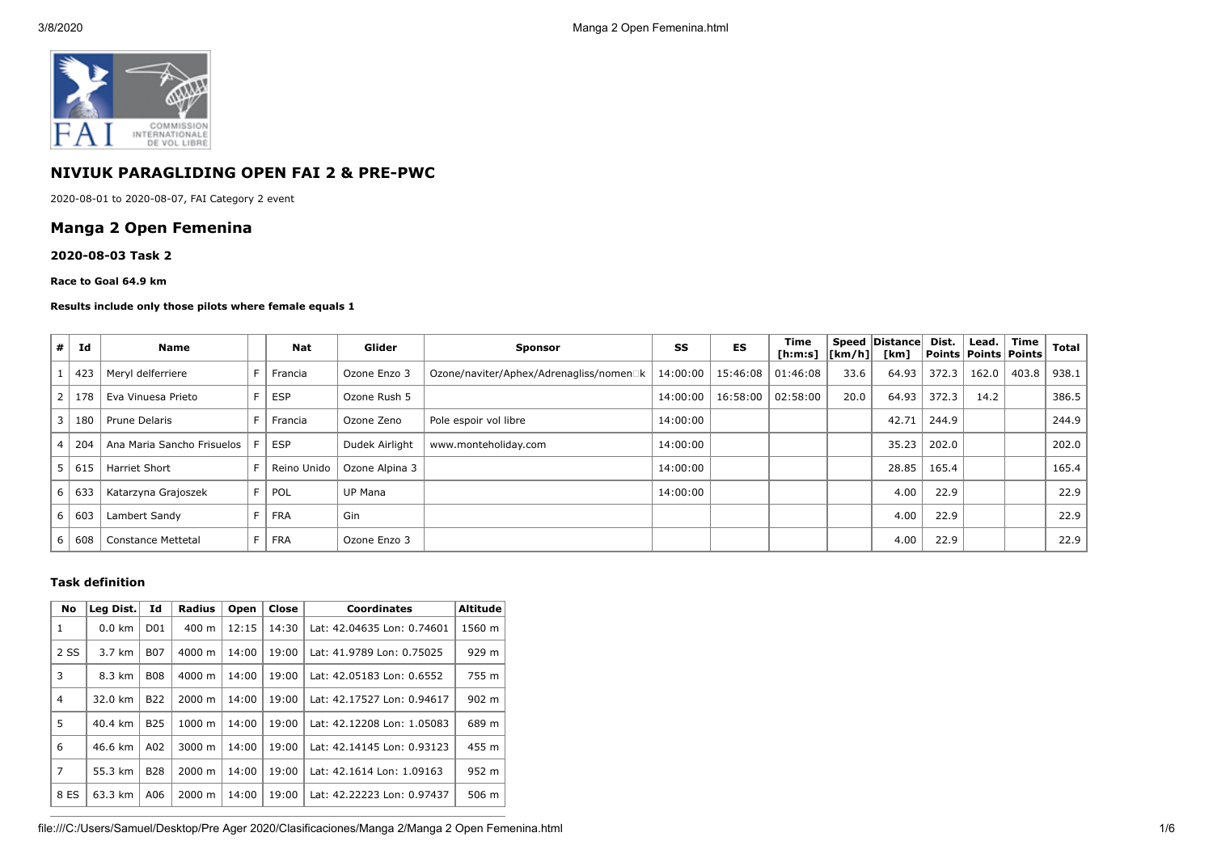

# **NIVIUK PARAGLIDING OPEN FAI 2 & PRE-PWC**

2020-08-01 to 2020-08-07, FAI Category 2 event

## **Manga 2 Open Femenina**

#### **2020-08-03 Task 2**

#### **Race to Goal 64.9 km**

#### **Results include only those pilots where female equals 1**

| #              | Id  | <b>Name</b>                |    | <b>Nat</b>  | Glider         | <b>Sponsor</b>                          | SS       | ES                  | Time<br>[h:m:s] $\vert$ [km/h] $\vert$ |      | Speed   Distance  <br>[km] | Dist. | Lead.<br>  Points   Points   Points | Time  | <b>Total</b> |
|----------------|-----|----------------------------|----|-------------|----------------|-----------------------------------------|----------|---------------------|----------------------------------------|------|----------------------------|-------|-------------------------------------|-------|--------------|
|                | 423 | Meryl delferriere          | F. | Francia     | Ozone Enzo 3   | Ozone/naviter/Aphex/Adrenagliss/nomen□k | 14:00:00 | 15:46:08 01:46:08   |                                        | 33.6 | 64.93                      | 372.3 | 162.0                               | 403.8 | 938.1        |
| $\overline{2}$ | 178 | Eva Vinuesa Prieto         |    | <b>ESP</b>  | Ozone Rush 5   |                                         | 14:00:00 | 16:58:00   02:58:00 |                                        | 20.0 | 64.93                      | 372.3 | 14.2                                |       | 386.5        |
| 3              | 180 | Prune Delaris              |    | Francia     | Ozone Zeno     | Pole espoir vol libre                   | 14:00:00 |                     |                                        |      | 42.71                      | 244.9 |                                     |       | 244.9        |
| $\overline{4}$ | 204 | Ana Maria Sancho Frisuelos |    | <b>ESP</b>  | Dudek Airlight | www.monteholiday.com                    | 14:00:00 |                     |                                        |      | 35.23                      | 202.0 |                                     |       | 202.0        |
| 5              | 615 | <b>Harriet Short</b>       |    | Reino Unido | Ozone Alpina 3 |                                         | 14:00:00 |                     |                                        |      | 28.85                      | 165.4 |                                     |       | 165.4        |
| 6              | 633 | Katarzyna Grajoszek        |    | F   POL     | <b>UP Mana</b> |                                         | 14:00:00 |                     |                                        |      | 4.00                       | 22.9  |                                     |       | 22.9         |
| 6              | 603 | Lambert Sandy              |    | FRA         | Gin            |                                         |          |                     |                                        |      | 4.00                       | 22.9  |                                     |       | 22.9         |
| 6              | 608 | <b>Constance Mettetal</b>  | F. | FRA         | Ozone Enzo 3   |                                         |          |                     |                                        |      | 4.00                       | 22.9  |                                     |       | 22.9         |

### **Task definition**

| <b>No</b>      | Leg Dist.        | Id              | <b>Radius</b>      | Open  | Close | <b>Coordinates</b>         | <b>Altitude</b> |
|----------------|------------------|-----------------|--------------------|-------|-------|----------------------------|-----------------|
| 1              | $0.0 \text{ km}$ | D <sub>01</sub> | $400 \text{ m}$    | 12:15 | 14:30 | Lat: 42.04635 Lon: 0.74601 | 1560 m          |
| 2 SS           | 3.7 km           | <b>B07</b>      | 4000 m             | 14:00 | 19:00 | Lat: 41.9789 Lon: 0.75025  | 929 m           |
| 3              | 8.3 km           | <b>B08</b>      | $4000 \; \text{m}$ | 14:00 | 19:00 | Lat: 42.05183 Lon: 0.6552  | 755 m           |
| $\overline{4}$ | 32.0 km          | <b>B22</b>      | $2000 \; \text{m}$ | 14:00 | 19:00 | Lat: 42.17527 Lon: 0.94617 | 902 m           |
| 5              | 40.4 km          | <b>B25</b>      | 1000 m             | 14:00 | 19:00 | Lat: 42.12208 Lon: 1.05083 | 689 m           |
| 6              | 46.6 km          | A02             | 3000 m             | 14:00 | 19:00 | Lat: 42.14145 Lon: 0.93123 | 455 m           |
| $\overline{7}$ | 55.3 km          | <b>B28</b>      | 2000 m             | 14:00 | 19:00 | Lat: 42.1614 Lon: 1.09163  | 952 m           |
| 8 ES           | 63.3 km          | A06             | $2000 \; \text{m}$ | 14:00 | 19:00 | Lat: 42.22223 Lon: 0.97437 | 506 m           |

file:///C:/Users/Samuel/Desktop/Pre Ager 2020/Clasificaciones/Manga 2/Manga 2 Open Femenina.html 1/6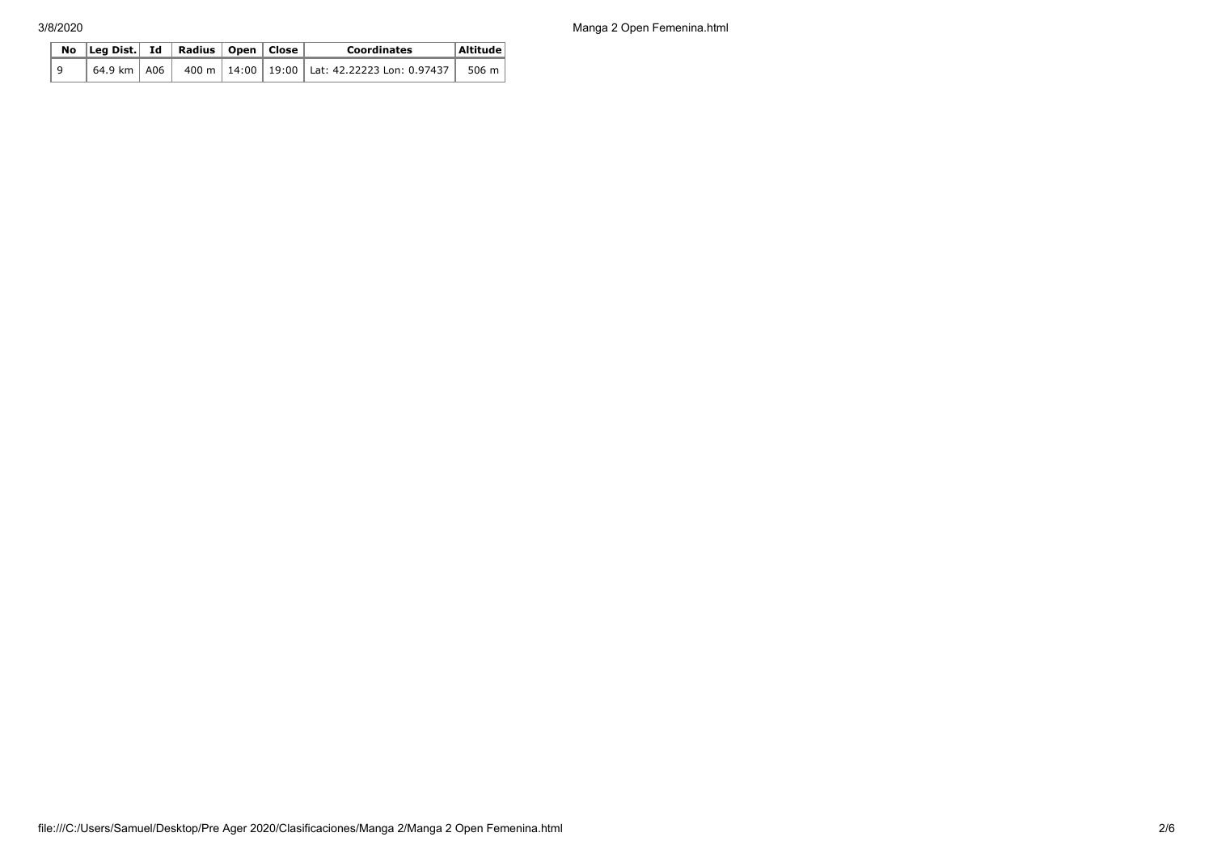3/8/2020 Manga 2 Open Femenina.html

|   | No $\vert$ Leg Dist. Id $\vert$ Radius $\vert$ Open $\vert$ Close |  |  | <b>Coordinates</b>                                                                                                     | Altitude |  |
|---|-------------------------------------------------------------------|--|--|------------------------------------------------------------------------------------------------------------------------|----------|--|
| 9 |                                                                   |  |  | $\frac{1}{1}$ 64.9 km $\vert$ A06 $\vert$ 400 m $\vert$ 14:00 $\vert$ 19:00 $\vert$ Lat: 42.22223 Lon: 0.97437 $\vert$ | 506 m    |  |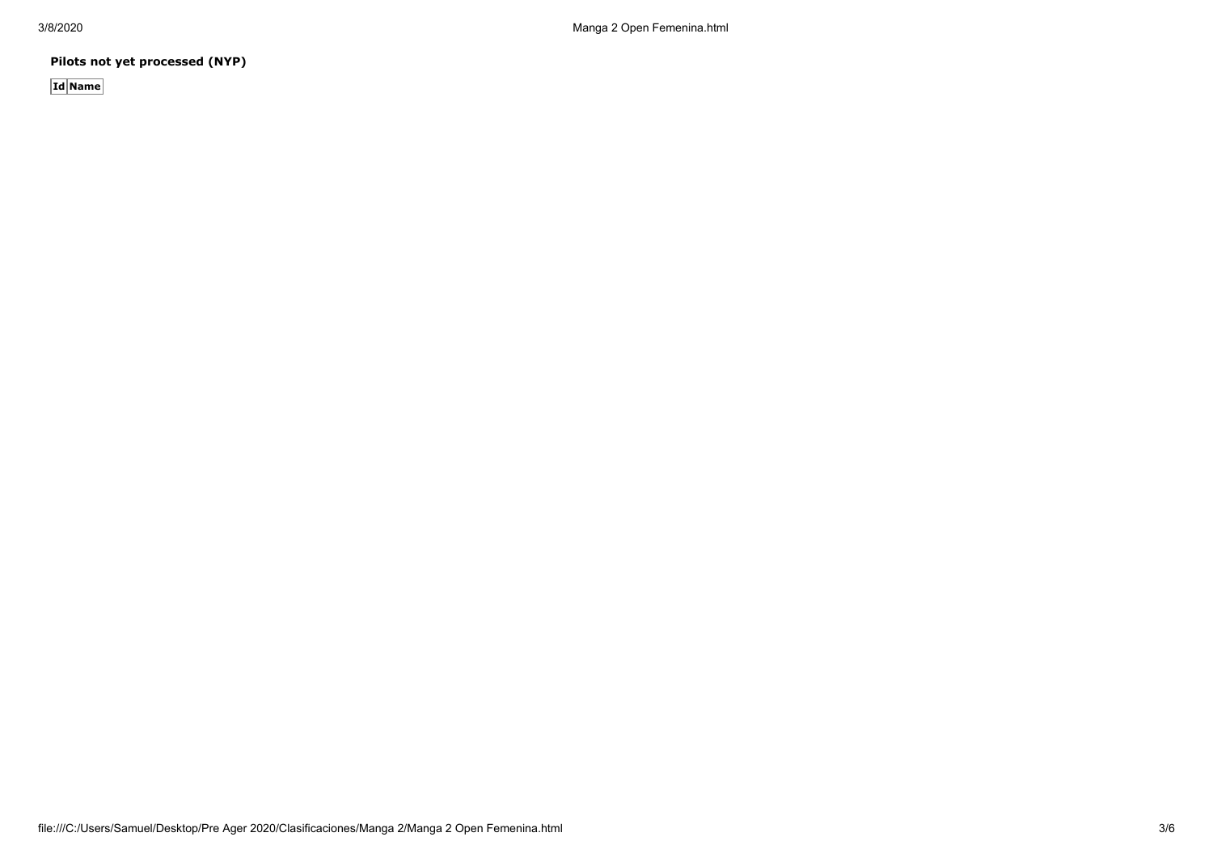**Pilots not yet processed (NYP)**

**Id Name**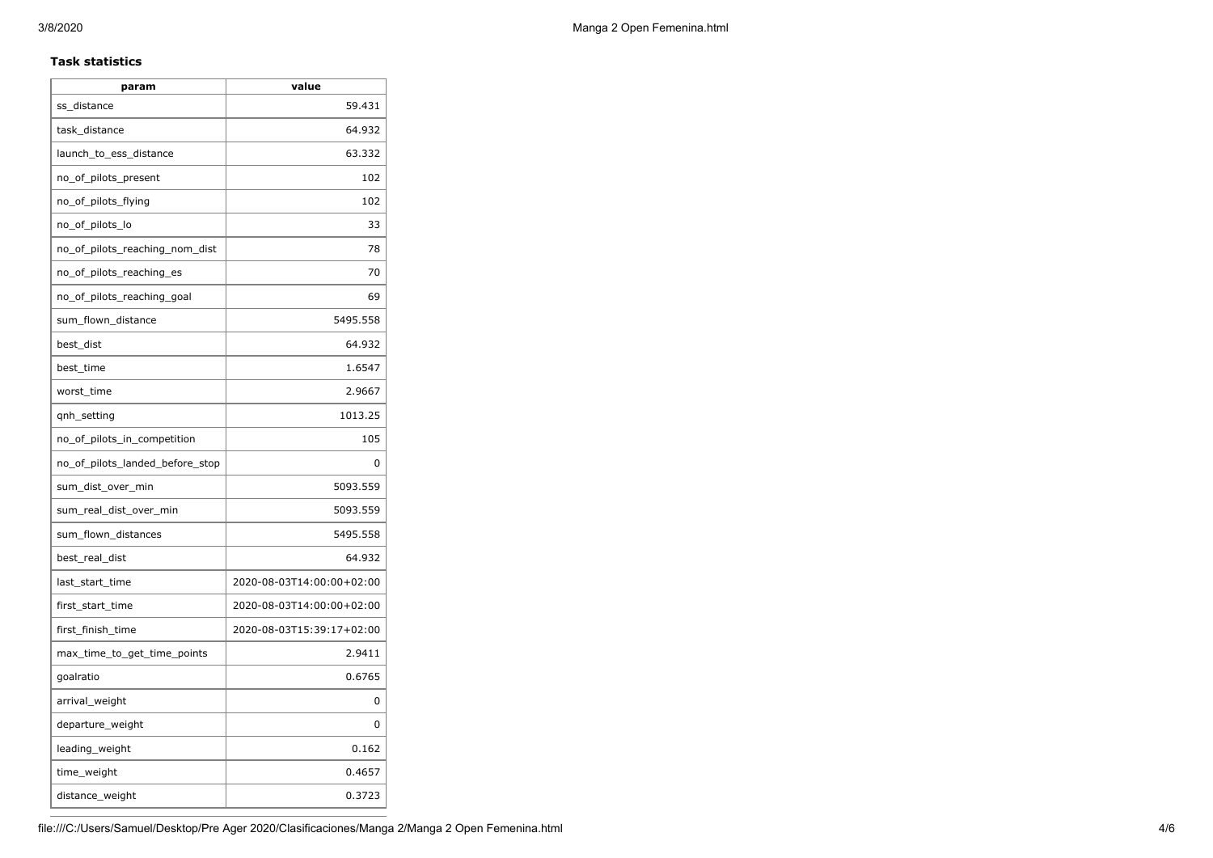### **Task statistics**

| param                           | value                     |
|---------------------------------|---------------------------|
| ss_distance                     | 59.431                    |
| task distance                   | 64.932                    |
| launch_to_ess_distance          | 63.332                    |
| no_of_pilots_present            | 102                       |
| no_of_pilots_flying             | 102                       |
| no_of_pilots_lo                 | 33                        |
| no_of_pilots_reaching_nom_dist  | 78                        |
| no_of_pilots_reaching_es        | 70                        |
| no_of_pilots_reaching_goal      | 69                        |
| sum_flown_distance              | 5495.558                  |
| best_dist                       | 64.932                    |
| best time                       | 1.6547                    |
| worst time                      | 2.9667                    |
| qnh_setting                     | 1013.25                   |
| no_of_pilots_in_competition     | 105                       |
| no_of_pilots_landed_before_stop | 0                         |
| sum_dist_over_min               | 5093.559                  |
| sum_real_dist_over_min          | 5093.559                  |
| sum_flown_distances             | 5495.558                  |
| best_real_dist                  | 64.932                    |
| last_start_time                 | 2020-08-03T14:00:00+02:00 |
| first_start_time                | 2020-08-03T14:00:00+02:00 |
| first_finish_time               | 2020-08-03T15:39:17+02:00 |
| max_time_to_get_time_points     | 2.9411                    |
| goalratio                       | 0.6765                    |
| arrival_weight                  | 0                         |
| departure_weight                | 0                         |
| leading_weight                  | 0.162                     |
| time_weight                     | 0.4657                    |
| distance_weight                 | 0.3723                    |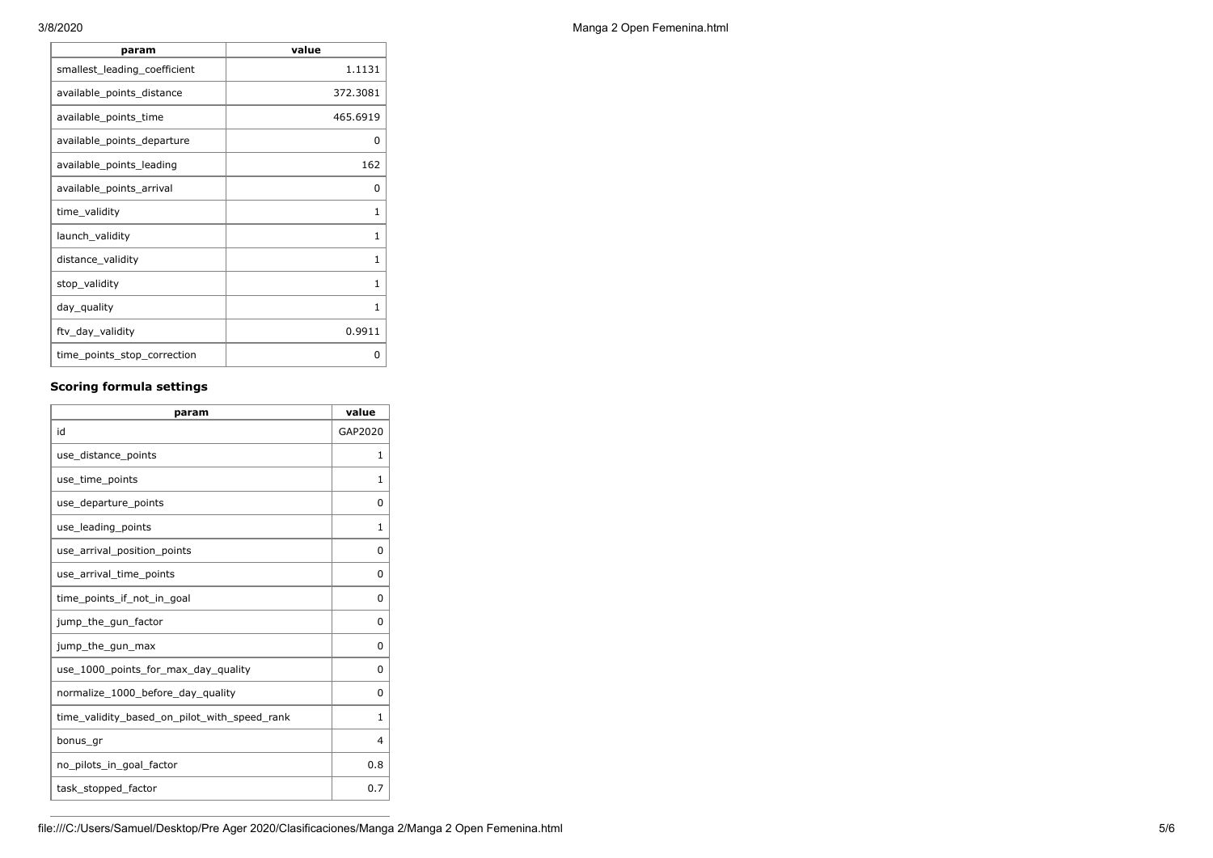| param                        | value        |
|------------------------------|--------------|
| smallest_leading_coefficient | 1.1131       |
| available_points_distance    | 372.3081     |
| available_points_time        | 465.6919     |
| available_points_departure   | O            |
| available points leading     | 162          |
| available_points_arrival     | <sup>0</sup> |
| time_validity                | 1            |
| launch_validity              | 1            |
| distance_validity            | 1            |
| stop_validity                | 1            |
| day_quality                  | 1            |
| ftv_day_validity             | 0.9911       |
| time_points_stop_correction  | ŋ            |

## **Scoring formula settings**

| param                                        | value        |
|----------------------------------------------|--------------|
| id                                           | GAP2020      |
| use_distance_points                          | 1            |
| use_time_points                              | 1            |
| use_departure_points                         | $\Omega$     |
| use_leading_points                           | 1            |
| use_arrival_position_points                  | 0            |
| use_arrival_time_points                      | 0            |
| time points if not in goal                   | 0            |
| jump_the_gun_factor                          | $\Omega$     |
| jump_the_gun_max                             | 0            |
| use_1000_points_for_max_day_quality          | 0            |
| normalize_1000_before_day_quality            | $\Omega$     |
| time_validity_based_on_pilot_with_speed_rank | $\mathbf{1}$ |
| bonus gr                                     | 4            |
| no_pilots_in_goal_factor                     | 0.8          |
| task_stopped_factor                          | 0.7          |